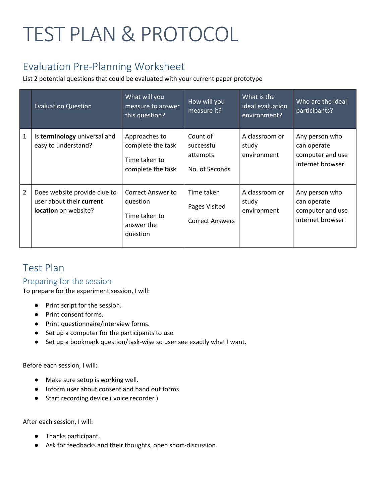# TEST PLAN & PROTOCOL

# Evaluation Pre-Planning Worksheet

List 2 potential questions that could be evaluated with your current paper prototype

|                | <b>Evaluation Question</b>                                                       | What will you<br>measure to answer<br>this question?                            | How will you<br>measure it?                           | What is the<br>ideal evaluation<br>environment? | Who are the ideal<br>participants?                                     |
|----------------|----------------------------------------------------------------------------------|---------------------------------------------------------------------------------|-------------------------------------------------------|-------------------------------------------------|------------------------------------------------------------------------|
| $\mathbf{1}$   | Is terminology universal and<br>easy to understand?                              | Approaches to<br>complete the task<br>Time taken to<br>complete the task        | Count of<br>successful<br>attempts<br>No. of Seconds  | A classroom or<br>study<br>environment          | Any person who<br>can operate<br>computer and use<br>internet browser. |
| $\overline{2}$ | Does website provide clue to<br>user about their current<br>location on website? | <b>Correct Answer to</b><br>question<br>Time taken to<br>answer the<br>question | Time taken<br>Pages Visited<br><b>Correct Answers</b> | A classroom or<br>study<br>environment          | Any person who<br>can operate<br>computer and use<br>internet browser. |

# Test Plan

## Preparing for the session

To prepare for the experiment session, I will:

- Print script for the session.
- Print consent forms.
- Print questionnaire/interview forms.
- Set up a computer for the participants to use
- Set up a bookmark question/task-wise so user see exactly what I want.

Before each session, I will:

- Make sure setup is working well.
- Inform user about consent and hand out forms
- Start recording device (voice recorder)

After each session, I will:

- Thanks participant.
- Ask for feedbacks and their thoughts, open short-discussion.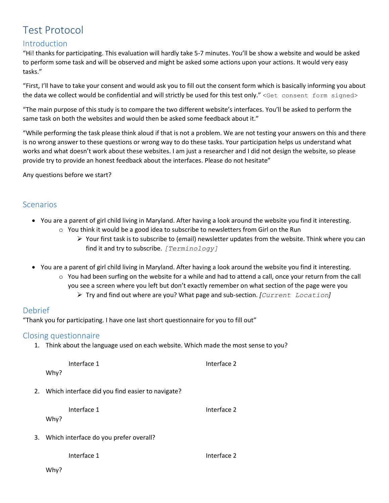# Test Protocol

## Introduction

"Hi! thanks for participating. This evaluation will hardly take 5-7 minutes. You'll be show a website and would be asked to perform some task and will be observed and might be asked some actions upon your actions. It would very easy tasks."

"First, I'll have to take your consent and would ask you to fill out the consent form which is basically informing you about the data we collect would be confidential and will strictly be used for this test only." <Get consent form signed>

"The main purpose of this study is to compare the two different website's interfaces. You'll be asked to perform the same task on both the websites and would then be asked some feedback about it."

"While performing the task please think aloud if that is not a problem. We are not testing your answers on this and there is no wrong answer to these questions or wrong way to do these tasks. Your participation helps us understand what works and what doesn't work about these websites. I am just a researcher and I did not design the website, so please provide try to provide an honest feedback about the interfaces. Please do not hesitate"

Any questions before we start?

## Scenarios

- You are a parent of girl child living in Maryland. After having a look around the website you find it interesting.  $\circ$  You think it would be a good idea to subscribe to newsletters from Girl on the Run
	- $\triangleright$  Your first task is to subscribe to (email) newsletter updates from the website. Think where you can find it and try to subscribe. *[Terminology]*
- You are a parent of girl child living in Maryland. After having a look around the website you find it interesting.
	- $\circ$  You had been surfing on the website for a while and had to attend a call, once your return from the call you see a screen where you left but don't exactly remember on what section of the page were you Try and find out where are you? What page and sub-section. *[Current Location]*

## Debrief

"Thank you for participating. I have one last short questionnaire for you to fill out"

#### Closing questionnaire

1. Think about the language used on each website. Which made the most sense to you?

| Interface 1                                         | Interface 2 |  |  |
|-----------------------------------------------------|-------------|--|--|
| Why?                                                |             |  |  |
| 2. Which interface did you find easier to navigate? |             |  |  |
| Interface 1                                         | Interface 2 |  |  |
| Why?                                                |             |  |  |
| 3. Which interface do you prefer overall?           |             |  |  |
| Interface 1                                         | Interface 2 |  |  |
| Why?                                                |             |  |  |